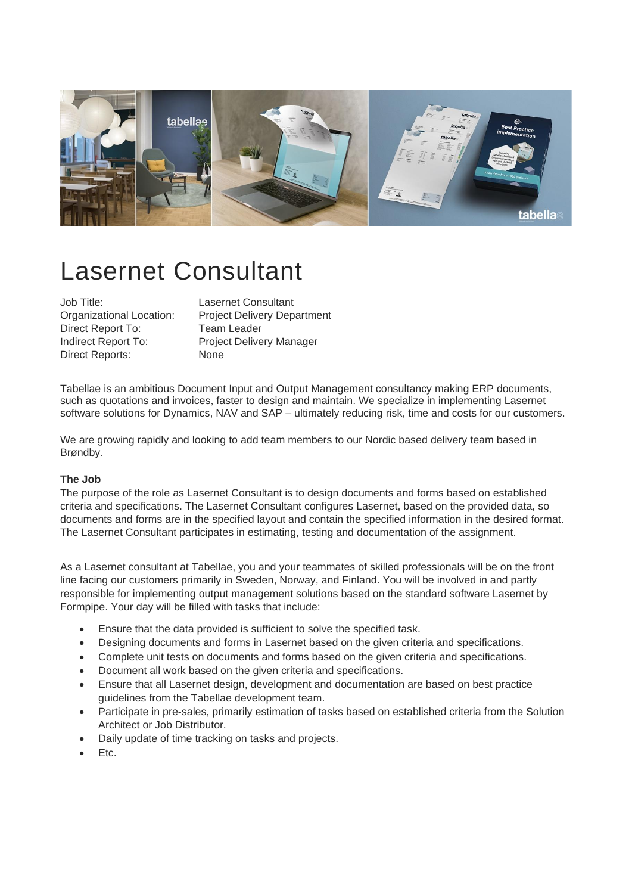

# Lasernet Consultant

Job Title: Lasernet Consultant Direct Report To: Team Leader Direct Reports: None

Organizational Location: Project Delivery Department Indirect Report To: Project Delivery Manager

Tabellae is an ambitious Document Input and Output Management consultancy making ERP documents, such as quotations and invoices, faster to design and maintain. We specialize in implementing Lasernet software solutions for Dynamics, NAV and SAP – ultimately reducing risk, time and costs for our customers.

We are growing rapidly and looking to add team members to our Nordic based delivery team based in Brøndby.

## **The Job**

The purpose of the role as Lasernet Consultant is to design documents and forms based on established criteria and specifications. The Lasernet Consultant configures Lasernet, based on the provided data, so documents and forms are in the specified layout and contain the specified information in the desired format. The Lasernet Consultant participates in estimating, testing and documentation of the assignment.

As a Lasernet consultant at Tabellae, you and your teammates of skilled professionals will be on the front line facing our customers primarily in Sweden, Norway, and Finland. You will be involved in and partly responsible for implementing output management solutions based on the standard software Lasernet by Formpipe. Your day will be filled with tasks that include:

- Ensure that the data provided is sufficient to solve the specified task.
- Designing documents and forms in Lasernet based on the given criteria and specifications.
- Complete unit tests on documents and forms based on the given criteria and specifications.
- Document all work based on the given criteria and specifications.
- Ensure that all Lasernet design, development and documentation are based on best practice guidelines from the Tabellae development team.
- Participate in pre-sales, primarily estimation of tasks based on established criteria from the Solution Architect or Job Distributor.
- Daily update of time tracking on tasks and projects.
- Etc.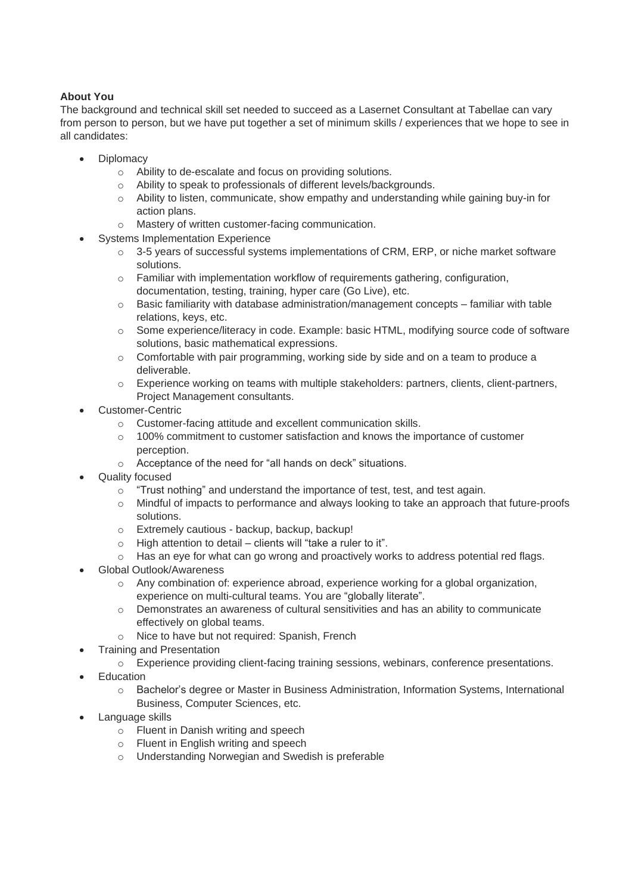# **About You**

The background and technical skill set needed to succeed as a Lasernet Consultant at Tabellae can vary from person to person, but we have put together a set of minimum skills / experiences that we hope to see in all candidates:

- **Diplomacy** 
	- o Ability to de-escalate and focus on providing solutions.
	- o Ability to speak to professionals of different levels/backgrounds.
	- $\circ$  Ability to listen, communicate, show empathy and understanding while gaining buy-in for action plans.
	- o Mastery of written customer-facing communication.
- **Systems Implementation Experience** 
	- o 3-5 years of successful systems implementations of CRM, ERP, or niche market software solutions.
	- o Familiar with implementation workflow of requirements gathering, configuration, documentation, testing, training, hyper care (Go Live), etc.
	- $\circ$  Basic familiarity with database administration/management concepts familiar with table relations, keys, etc.
	- o Some experience/literacy in code. Example: basic HTML, modifying source code of software solutions, basic mathematical expressions.
	- $\circ$  Comfortable with pair programming, working side by side and on a team to produce a deliverable.
	- o Experience working on teams with multiple stakeholders: partners, clients, client-partners, Project Management consultants.
- Customer-Centric
	- o Customer-facing attitude and excellent communication skills.
	- o 100% commitment to customer satisfaction and knows the importance of customer perception.
	- o Acceptance of the need for "all hands on deck" situations.
- Quality focused
	- o "Trust nothing" and understand the importance of test, test, and test again.
	- $\circ$  Mindful of impacts to performance and always looking to take an approach that future-proofs solutions.
	- o Extremely cautious backup, backup, backup!
	- o High attention to detail clients will "take a ruler to it".
	- o Has an eye for what can go wrong and proactively works to address potential red flags.
- Global Outlook/Awareness
	- o Any combination of: experience abroad, experience working for a global organization, experience on multi-cultural teams. You are "globally literate".
	- o Demonstrates an awareness of cultural sensitivities and has an ability to communicate effectively on global teams.
	- o Nice to have but not required: Spanish, French
- Training and Presentation
	- o Experience providing client-facing training sessions, webinars, conference presentations.
- **Education** 
	- o Bachelor's degree or Master in Business Administration, Information Systems, International Business, Computer Sciences, etc.
- Language skills
	- o Fluent in Danish writing and speech
	- o Fluent in English writing and speech
	- o Understanding Norwegian and Swedish is preferable